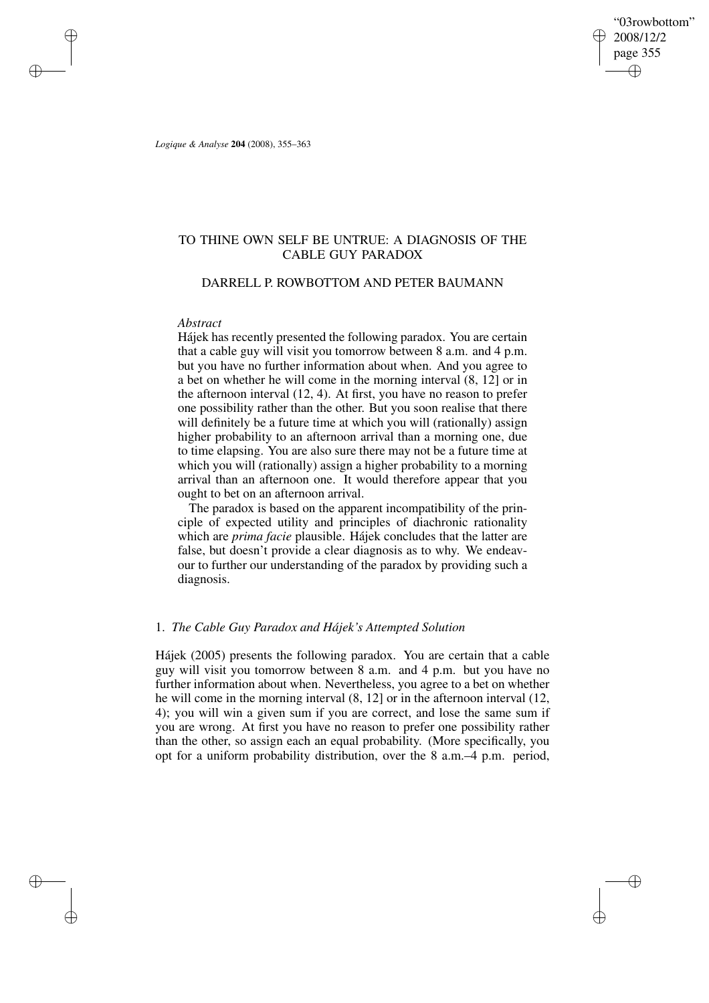"03rowbottom" 2008/12/2 page 355 ✐ ✐

✐

✐

*Logique & Analyse* **204** (2008), 355–363

✐

✐

✐

✐

# TO THINE OWN SELF BE UNTRUE: A DIAGNOSIS OF THE CABLE GUY PARADOX

## DARRELL P. ROWBOTTOM AND PETER BAUMANN

#### *Abstract*

Hájek has recently presented the following paradox. You are certain that a cable guy will visit you tomorrow between 8 a.m. and 4 p.m. but you have no further information about when. And you agree to a bet on whether he will come in the morning interval (8, 12] or in the afternoon interval (12, 4). At first, you have no reason to prefer one possibility rather than the other. But you soon realise that there will definitely be a future time at which you will (rationally) assign higher probability to an afternoon arrival than a morning one, due to time elapsing. You are also sure there may not be a future time at which you will (rationally) assign a higher probability to a morning arrival than an afternoon one. It would therefore appear that you ought to bet on an afternoon arrival.

The paradox is based on the apparent incompatibility of the principle of expected utility and principles of diachronic rationality which are *prima facie* plausible. Hájek concludes that the latter are false, but doesn't provide a clear diagnosis as to why. We endeavour to further our understanding of the paradox by providing such a diagnosis.

### 1. *The Cable Guy Paradox and Hájek's Attempted Solution*

Hájek (2005) presents the following paradox. You are certain that a cable guy will visit you tomorrow between 8 a.m. and 4 p.m. but you have no further information about when. Nevertheless, you agree to a bet on whether he will come in the morning interval (8, 12] or in the afternoon interval (12, 4); you will win a given sum if you are correct, and lose the same sum if you are wrong. At first you have no reason to prefer one possibility rather than the other, so assign each an equal probability. (More specifically, you opt for a uniform probability distribution, over the 8 a.m.–4 p.m. period,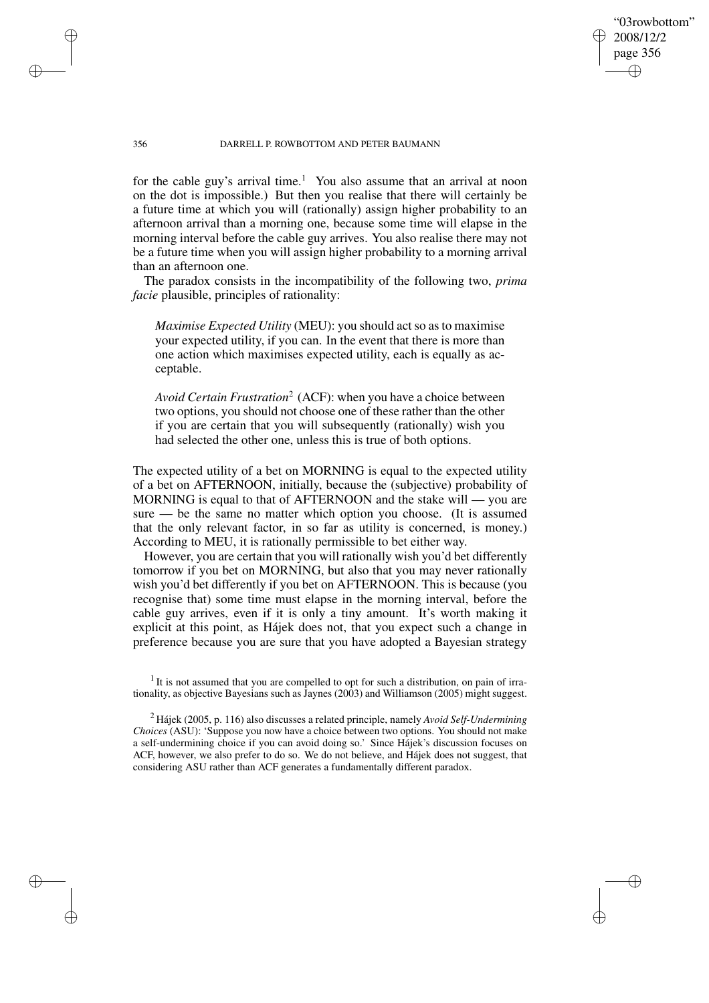## "03rowbottom" 2008/12/2 page 356 ✐ ✐

✐

✐

#### 356 DARRELL P. ROWBOTTOM AND PETER BAUMANN

for the cable guy's arrival time.<sup>1</sup> You also assume that an arrival at noon on the dot is impossible.) But then you realise that there will certainly be a future time at which you will (rationally) assign higher probability to an afternoon arrival than a morning one, because some time will elapse in the morning interval before the cable guy arrives. You also realise there may not be a future time when you will assign higher probability to a morning arrival than an afternoon one.

The paradox consists in the incompatibility of the following two, *prima facie* plausible, principles of rationality:

*Maximise Expected Utility* (MEU): you should act so as to maximise your expected utility, if you can. In the event that there is more than one action which maximises expected utility, each is equally as acceptable.

*Avoid Certain Frustration*<sup>2</sup> (ACF): when you have a choice between two options, you should not choose one of these rather than the other if you are certain that you will subsequently (rationally) wish you had selected the other one, unless this is true of both options.

The expected utility of a bet on MORNING is equal to the expected utility of a bet on AFTERNOON, initially, because the (subjective) probability of MORNING is equal to that of AFTERNOON and the stake will — you are sure — be the same no matter which option you choose. (It is assumed that the only relevant factor, in so far as utility is concerned, is money.) According to MEU, it is rationally permissible to bet either way.

However, you are certain that you will rationally wish you'd bet differently tomorrow if you bet on MORNING, but also that you may never rationally wish you'd bet differently if you bet on AFTERNOON. This is because (you recognise that) some time must elapse in the morning interval, before the cable guy arrives, even if it is only a tiny amount. It's worth making it explicit at this point, as Hájek does not, that you expect such a change in preference because you are sure that you have adopted a Bayesian strategy

 $<sup>1</sup>$  It is not assumed that you are compelled to opt for such a distribution, on pain of irra-</sup> tionality, as objective Bayesians such as Jaynes (2003) and Williamson (2005) might suggest.

<sup>2</sup> Hájek (2005, p. 116) also discusses a related principle, namely *Avoid Self-Undermining Choices* (ASU): 'Suppose you now have a choice between two options. You should not make a self-undermining choice if you can avoid doing so.' Since Hájek's discussion focuses on ACF, however, we also prefer to do so. We do not believe, and Hájek does not suggest, that considering ASU rather than ACF generates a fundamentally different paradox.

✐

✐

✐

✐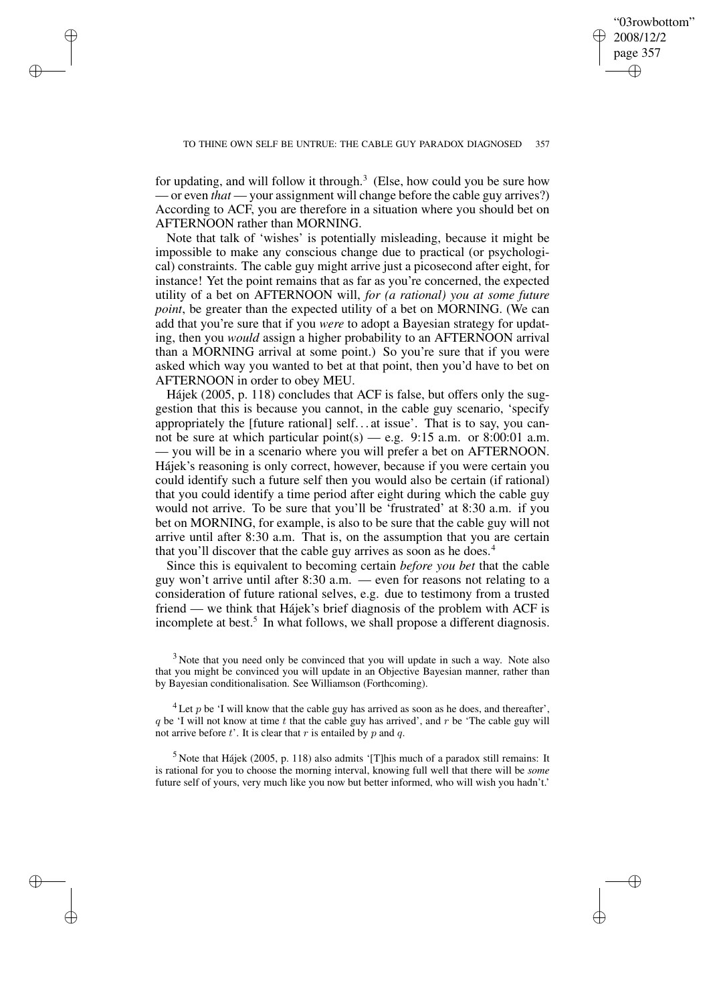✐

✐

for updating, and will follow it through.<sup>3</sup> (Else, how could you be sure how — or even *that* — your assignment will change before the cable guy arrives?) According to ACF, you are therefore in a situation where you should bet on AFTERNOON rather than MORNING.

✐

✐

✐

✐

Note that talk of 'wishes' is potentially misleading, because it might be impossible to make any conscious change due to practical (or psychological) constraints. The cable guy might arrive just a picosecond after eight, for instance! Yet the point remains that as far as you're concerned, the expected utility of a bet on AFTERNOON will, *for (a rational) you at some future point*, be greater than the expected utility of a bet on MORNING. (We can add that you're sure that if you *were* to adopt a Bayesian strategy for updating, then you *would* assign a higher probability to an AFTERNOON arrival than a MORNING arrival at some point.) So you're sure that if you were asked which way you wanted to bet at that point, then you'd have to bet on AFTERNOON in order to obey MEU.

Hájek (2005, p. 118) concludes that ACF is false, but offers only the suggestion that this is because you cannot, in the cable guy scenario, 'specify appropriately the [future rational] self. . . at issue'. That is to say, you cannot be sure at which particular point(s) — e.g. 9:15 a.m. or 8:00:01 a.m. — you will be in a scenario where you will prefer a bet on AFTERNOON. Hájek's reasoning is only correct, however, because if you were certain you could identify such a future self then you would also be certain (if rational) that you could identify a time period after eight during which the cable guy would not arrive. To be sure that you'll be 'frustrated' at 8:30 a.m. if you bet on MORNING, for example, is also to be sure that the cable guy will not arrive until after 8:30 a.m. That is, on the assumption that you are certain that you'll discover that the cable guy arrives as soon as he does.<sup>4</sup>

Since this is equivalent to becoming certain *before you bet* that the cable guy won't arrive until after 8:30 a.m. — even for reasons not relating to a consideration of future rational selves, e.g. due to testimony from a trusted friend — we think that Hájek's brief diagnosis of the problem with ACF is incomplete at best.<sup>5</sup> In what follows, we shall propose a different diagnosis.

<sup>3</sup> Note that you need only be convinced that you will update in such a way. Note also that you might be convinced you will update in an Objective Bayesian manner, rather than by Bayesian conditionalisation. See Williamson (Forthcoming).

 $^{4}$  Let p be 'I will know that the cable guy has arrived as soon as he does, and thereafter'.  $q$  be 'I will not know at time  $t$  that the cable guy has arrived', and  $r$  be 'The cable guy will not arrive before  $t'$ . It is clear that  $r$  is entailed by  $p$  and  $q$ .

<sup>5</sup> Note that Hájek (2005, p. 118) also admits '[T]his much of a paradox still remains: It is rational for you to choose the morning interval, knowing full well that there will be *some* future self of yours, very much like you now but better informed, who will wish you hadn't.'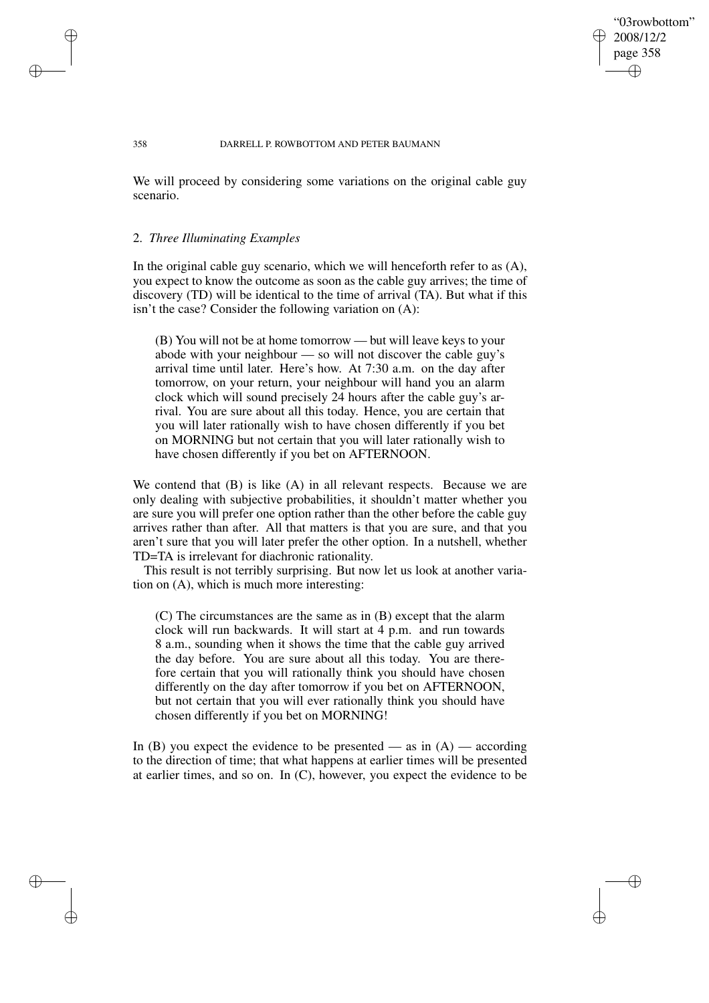## "03rowbottom" 2008/12/2 page 358 ✐ ✐

✐

✐

#### 358 DARRELL P. ROWBOTTOM AND PETER BAUMANN

We will proceed by considering some variations on the original cable guy scenario.

### 2. *Three Illuminating Examples*

✐

✐

✐

✐

In the original cable guy scenario, which we will henceforth refer to as (A), you expect to know the outcome as soon as the cable guy arrives; the time of discovery (TD) will be identical to the time of arrival (TA). But what if this isn't the case? Consider the following variation on (A):

(B) You will not be at home tomorrow — but will leave keys to your abode with your neighbour — so will not discover the cable guy's arrival time until later. Here's how. At 7:30 a.m. on the day after tomorrow, on your return, your neighbour will hand you an alarm clock which will sound precisely 24 hours after the cable guy's arrival. You are sure about all this today. Hence, you are certain that you will later rationally wish to have chosen differently if you bet on MORNING but not certain that you will later rationally wish to have chosen differently if you bet on AFTERNOON.

We contend that (B) is like (A) in all relevant respects. Because we are only dealing with subjective probabilities, it shouldn't matter whether you are sure you will prefer one option rather than the other before the cable guy arrives rather than after. All that matters is that you are sure, and that you aren't sure that you will later prefer the other option. In a nutshell, whether TD=TA is irrelevant for diachronic rationality.

This result is not terribly surprising. But now let us look at another variation on (A), which is much more interesting:

(C) The circumstances are the same as in (B) except that the alarm clock will run backwards. It will start at 4 p.m. and run towards 8 a.m., sounding when it shows the time that the cable guy arrived the day before. You are sure about all this today. You are therefore certain that you will rationally think you should have chosen differently on the day after tomorrow if you bet on AFTERNOON, but not certain that you will ever rationally think you should have chosen differently if you bet on MORNING!

In (B) you expect the evidence to be presented — as in  $(A)$  — according to the direction of time; that what happens at earlier times will be presented at earlier times, and so on. In (C), however, you expect the evidence to be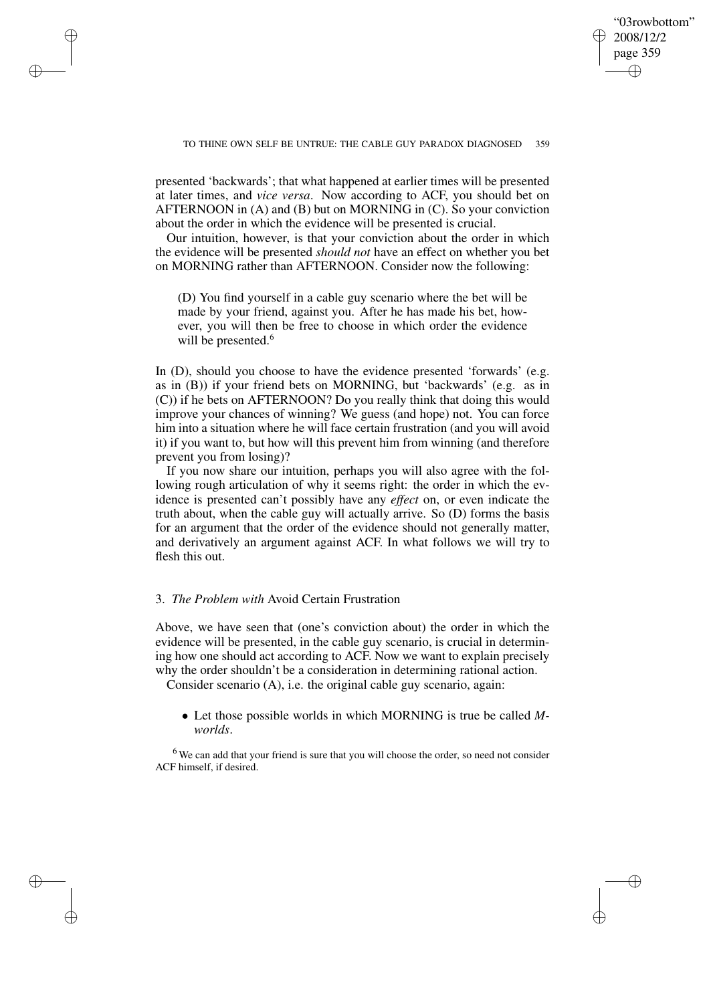✐

✐

presented 'backwards'; that what happened at earlier times will be presented at later times, and *vice versa*. Now according to ACF, you should bet on AFTERNOON in (A) and (B) but on MORNING in (C). So your conviction about the order in which the evidence will be presented is crucial.

✐

✐

✐

✐

Our intuition, however, is that your conviction about the order in which the evidence will be presented *should not* have an effect on whether you bet on MORNING rather than AFTERNOON. Consider now the following:

(D) You find yourself in a cable guy scenario where the bet will be made by your friend, against you. After he has made his bet, however, you will then be free to choose in which order the evidence will be presented.<sup>6</sup>

In (D), should you choose to have the evidence presented 'forwards' (e.g. as in (B)) if your friend bets on MORNING, but 'backwards' (e.g. as in (C)) if he bets on AFTERNOON? Do you really think that doing this would improve your chances of winning? We guess (and hope) not. You can force him into a situation where he will face certain frustration (and you will avoid it) if you want to, but how will this prevent him from winning (and therefore prevent you from losing)?

If you now share our intuition, perhaps you will also agree with the following rough articulation of why it seems right: the order in which the evidence is presented can't possibly have any *effect* on, or even indicate the truth about, when the cable guy will actually arrive. So (D) forms the basis for an argument that the order of the evidence should not generally matter, and derivatively an argument against ACF. In what follows we will try to flesh this out.

## 3. *The Problem with* Avoid Certain Frustration

Above, we have seen that (one's conviction about) the order in which the evidence will be presented, in the cable guy scenario, is crucial in determining how one should act according to ACF. Now we want to explain precisely why the order shouldn't be a consideration in determining rational action.

Consider scenario (A), i.e. the original cable guy scenario, again:

• Let those possible worlds in which MORNING is true be called *Mworlds*.

<sup>6</sup> We can add that your friend is sure that you will choose the order, so need not consider ACF himself, if desired.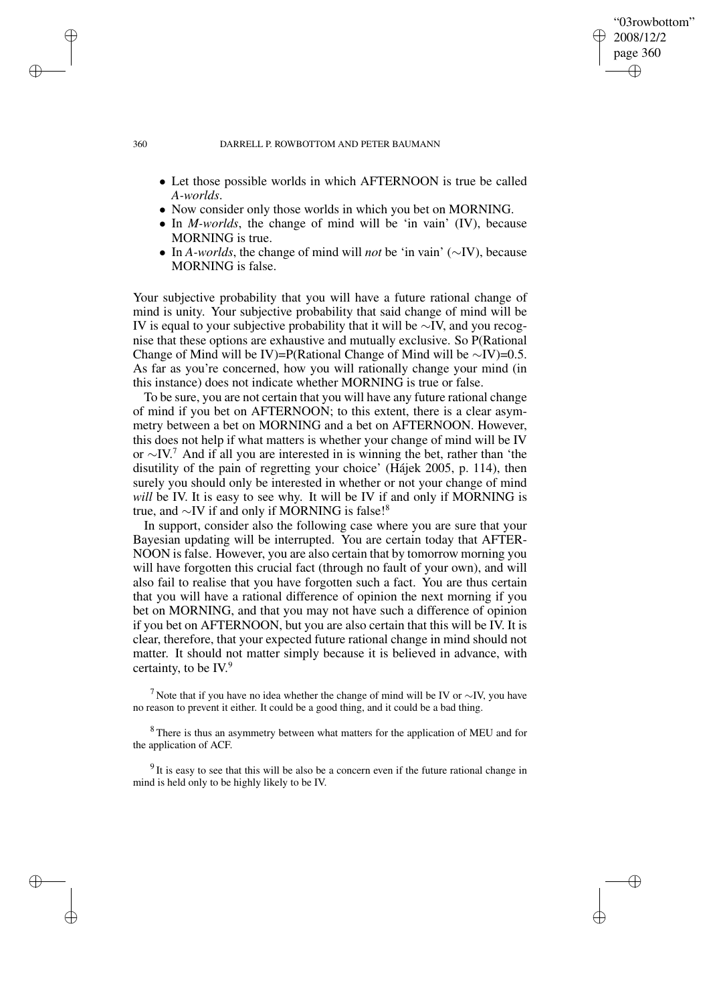## "03rowbottom" 2008/12/2 page 360 ✐ ✐

✐

✐

#### 360 DARRELL P. ROWBOTTOM AND PETER BAUMANN

- Let those possible worlds in which AFTERNOON is true be called *A-worlds*.
- Now consider only those worlds in which you bet on MORNING.
- In *M-worlds*, the change of mind will be 'in vain' (IV), because MORNING is true.
- In *A-worlds*, the change of mind will *not* be 'in vain' (∼IV), because MORNING is false.

Your subjective probability that you will have a future rational change of mind is unity. Your subjective probability that said change of mind will be IV is equal to your subjective probability that it will be ∼IV, and you recognise that these options are exhaustive and mutually exclusive. So P(Rational Change of Mind will be IV)=P(Rational Change of Mind will be ∼IV)=0.5. As far as you're concerned, how you will rationally change your mind (in this instance) does not indicate whether MORNING is true or false.

To be sure, you are not certain that you will have any future rational change of mind if you bet on AFTERNOON; to this extent, there is a clear asymmetry between a bet on MORNING and a bet on AFTERNOON. However, this does not help if what matters is whether your change of mind will be IV or ∼IV. <sup>7</sup> And if all you are interested in is winning the bet, rather than 'the disutility of the pain of regretting your choice' (Hájek 2005, p. 114), then surely you should only be interested in whether or not your change of mind *will* be IV. It is easy to see why. It will be IV if and only if MORNING is true, and ∼IV if and only if MORNING is false!<sup>8</sup>

In support, consider also the following case where you are sure that your Bayesian updating will be interrupted. You are certain today that AFTER-NOON is false. However, you are also certain that by tomorrow morning you will have forgotten this crucial fact (through no fault of your own), and will also fail to realise that you have forgotten such a fact. You are thus certain that you will have a rational difference of opinion the next morning if you bet on MORNING, and that you may not have such a difference of opinion if you bet on AFTERNOON, but you are also certain that this will be IV. It is clear, therefore, that your expected future rational change in mind should not matter. It should not matter simply because it is believed in advance, with certainty, to be IV. 9

<sup>7</sup> Note that if you have no idea whether the change of mind will be IV or  $\sim$ IV, you have no reason to prevent it either. It could be a good thing, and it could be a bad thing.

<sup>8</sup> There is thus an asymmetry between what matters for the application of MEU and for the application of ACF.

 $9<sup>9</sup>$ It is easy to see that this will be also be a concern even if the future rational change in mind is held only to be highly likely to be IV.

✐

✐

✐

✐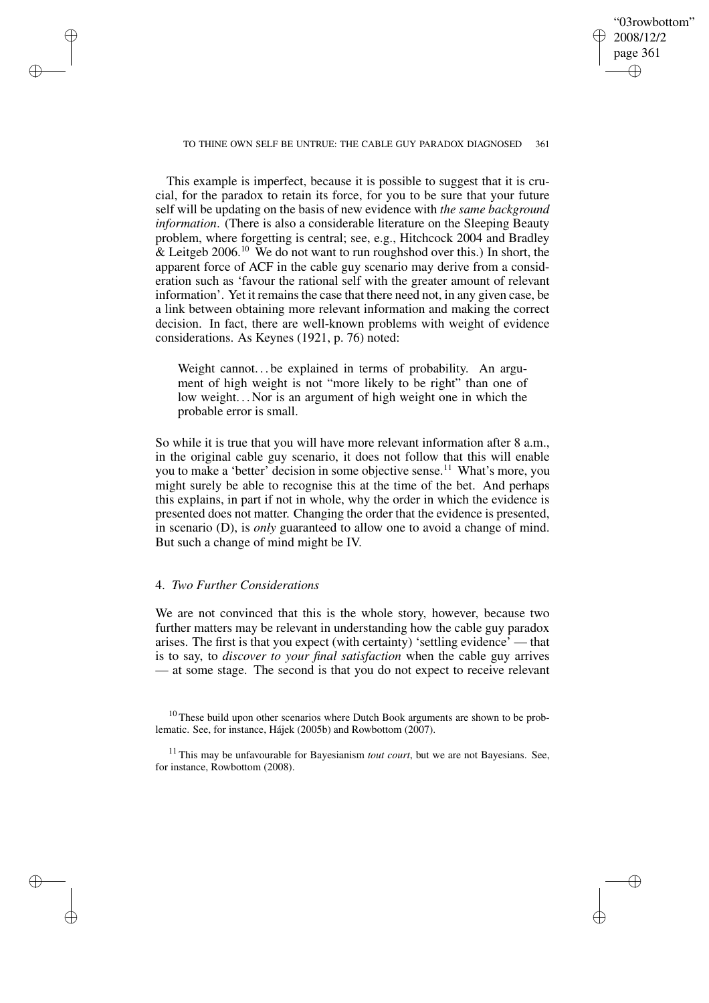"03rowbottom" 2008/12/2 page 361 ✐ ✐

✐

✐

TO THINE OWN SELF BE UNTRUE: THE CABLE GUY PARADOX DIAGNOSED 361

This example is imperfect, because it is possible to suggest that it is crucial, for the paradox to retain its force, for you to be sure that your future self will be updating on the basis of new evidence with *the same background information*. (There is also a considerable literature on the Sleeping Beauty problem, where forgetting is central; see, e.g., Hitchcock 2004 and Bradley  $\&$  Leitgeb 2006.<sup>10</sup> We do not want to run roughshod over this.) In short, the apparent force of ACF in the cable guy scenario may derive from a consideration such as 'favour the rational self with the greater amount of relevant information'. Yet it remains the case that there need not, in any given case, be a link between obtaining more relevant information and making the correct decision. In fact, there are well-known problems with weight of evidence considerations. As Keynes (1921, p. 76) noted:

Weight cannot... be explained in terms of probability. An argument of high weight is not "more likely to be right" than one of low weight... Nor is an argument of high weight one in which the probable error is small.

So while it is true that you will have more relevant information after 8 a.m., in the original cable guy scenario, it does not follow that this will enable you to make a 'better' decision in some objective sense.<sup>11</sup> What's more, you might surely be able to recognise this at the time of the bet. And perhaps this explains, in part if not in whole, why the order in which the evidence is presented does not matter. Changing the order that the evidence is presented, in scenario (D), is *only* guaranteed to allow one to avoid a change of mind. But such a change of mind might be IV.

# 4. *Two Further Considerations*

✐

✐

✐

✐

We are not convinced that this is the whole story, however, because two further matters may be relevant in understanding how the cable guy paradox arises. The first is that you expect (with certainty) 'settling evidence' — that is to say, to *discover to your final satisfaction* when the cable guy arrives — at some stage. The second is that you do not expect to receive relevant

 $10$  These build upon other scenarios where Dutch Book arguments are shown to be problematic. See, for instance, Hájek (2005b) and Rowbottom (2007).

<sup>11</sup> This may be unfavourable for Bayesianism *tout court*, but we are not Bayesians. See, for instance, Rowbottom (2008).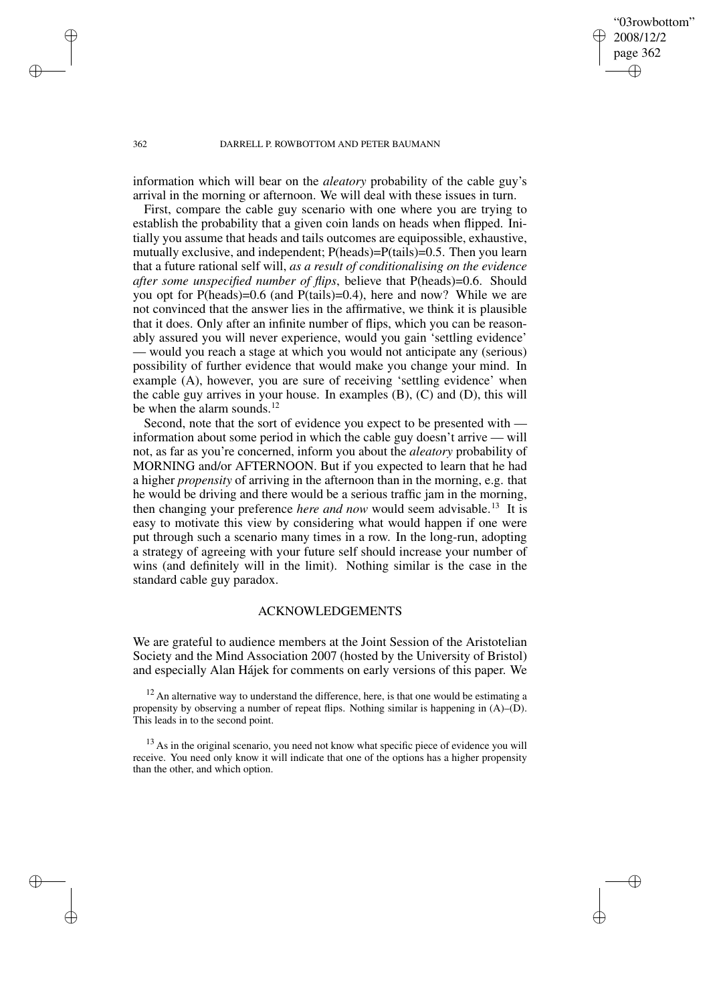✐

✐

#### 362 DARRELL P. ROWBOTTOM AND PETER BAUMANN

information which will bear on the *aleatory* probability of the cable guy's arrival in the morning or afternoon. We will deal with these issues in turn.

First, compare the cable guy scenario with one where you are trying to establish the probability that a given coin lands on heads when flipped. Initially you assume that heads and tails outcomes are equipossible, exhaustive, mutually exclusive, and independent; P(heads)=P(tails)=0.5. Then you learn that a future rational self will, *as a result of conditionalising on the evidence after some unspecified number of flips*, believe that P(heads)=0.6. Should you opt for P(heads)=0.6 (and P(tails)=0.4), here and now? While we are not convinced that the answer lies in the affirmative, we think it is plausible that it does. Only after an infinite number of flips, which you can be reasonably assured you will never experience, would you gain 'settling evidence' — would you reach a stage at which you would not anticipate any (serious) possibility of further evidence that would make you change your mind. In example (A), however, you are sure of receiving 'settling evidence' when the cable guy arrives in your house. In examples  $(B)$ ,  $(C)$  and  $(D)$ , this will be when the alarm sounds.<sup>12</sup>

Second, note that the sort of evidence you expect to be presented with information about some period in which the cable guy doesn't arrive — will not, as far as you're concerned, inform you about the *aleatory* probability of MORNING and/or AFTERNOON. But if you expected to learn that he had a higher *propensity* of arriving in the afternoon than in the morning, e.g. that he would be driving and there would be a serious traffic jam in the morning, then changing your preference *here and now* would seem advisable.<sup>13</sup> It is easy to motivate this view by considering what would happen if one were put through such a scenario many times in a row. In the long-run, adopting a strategy of agreeing with your future self should increase your number of wins (and definitely will in the limit). Nothing similar is the case in the standard cable guy paradox.

#### ACKNOWLEDGEMENTS

We are grateful to audience members at the Joint Session of the Aristotelian Society and the Mind Association 2007 (hosted by the University of Bristol) and especially Alan Hájek for comments on early versions of this paper. We

 $12$  An alternative way to understand the difference, here, is that one would be estimating a propensity by observing a number of repeat flips. Nothing similar is happening in (A)–(D). This leads in to the second point.

 $13$  As in the original scenario, you need not know what specific piece of evidence you will receive. You need only know it will indicate that one of the options has a higher propensity than the other, and which option.

✐

✐

✐

✐